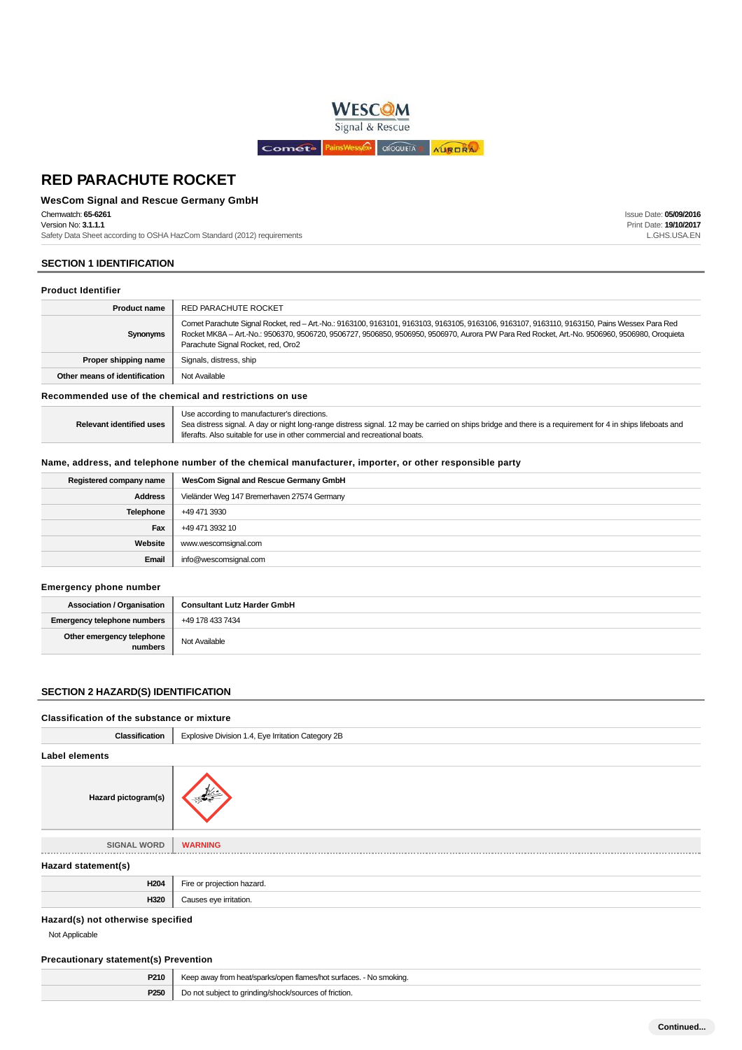

### **WesCom Signal and Rescue Germany GmbH**

Chemwatch: **65-6261**

Version No: **3.1.1.1**

Safety Data Sheet according to OSHA HazCom Standard (2012) requirements

## **SECTION 1 IDENTIFICATION**

#### **Product Identifier**

| <b>Product name</b>           | RED PARACHUTE ROCKET                                                                                                                                                                                                                                                                                                                |
|-------------------------------|-------------------------------------------------------------------------------------------------------------------------------------------------------------------------------------------------------------------------------------------------------------------------------------------------------------------------------------|
| Synonyms                      | Comet Parachute Signal Rocket, red - Art.-No.: 9163100, 9163101, 9163103, 9163105, 9163106, 9163107, 9163110, 9163150, Pains Wessex Para Red<br>Rocket MK8A - Art.-No.: 9506370, 9506720, 9506727, 9506850, 9506950, 9506970, Aurora PW Para Red Rocket, Art.-No. 9506960, 9506980, Oroquieta<br>Parachute Signal Rocket, red, Oro2 |
| Proper shipping name          | Signals, distress, ship                                                                                                                                                                                                                                                                                                             |
| Other means of identification | Not Available                                                                                                                                                                                                                                                                                                                       |

**Recommended use of the chemical and restrictions on use**

|                                 | Use according to manufacturer's directions.                                                                                                               |
|---------------------------------|-----------------------------------------------------------------------------------------------------------------------------------------------------------|
| <b>Relevant identified uses</b> | Sea distress signal. A day or night long-range distress signal. 12 may be carried on ships bridge and there is a requirement for 4 in ships lifeboats and |
|                                 | liferafts. Also suitable for use in other commercial and recreational boats.                                                                              |

### **Name, address, and telephone number of the chemical manufacturer, importer, or other responsible party**

| Registered company name | WesCom Signal and Rescue Germany GmbH       |  |
|-------------------------|---------------------------------------------|--|
| <b>Address</b>          | Vieländer Weg 147 Bremerhaven 27574 Germany |  |
| <b>Telephone</b>        | +49 471 3930                                |  |
| Fax                     | +49 471 3932 10                             |  |
| Website                 | www.wescomsignal.com                        |  |
| Email                   | info@wescomsignal.com                       |  |

#### **Emergency phone number**

| <b>Association / Organisation</b>    | <b>Consultant Lutz Harder GmbH</b> |
|--------------------------------------|------------------------------------|
| <b>Emergency telephone numbers</b>   | +49 178 433 7434                   |
| Other emergency telephone<br>numbers | Not Available                      |

## **SECTION 2 HAZARD(S) IDENTIFICATION**

#### **Classification of the substance or mixture**

| <b>Classification</b>             | Explosive Division 1.4, Eye Irritation Category 2B |
|-----------------------------------|----------------------------------------------------|
| <b>Label elements</b>             |                                                    |
| Hazard pictogram(s)               |                                                    |
| <b>SIGNAL WORD</b>                | <b>WARNING</b>                                     |
|                                   |                                                    |
| Hazard statement(s)               |                                                    |
| H <sub>204</sub>                  | Fire or projection hazard.                         |
| H320                              | Causes eye irritation.                             |
| Hazard(s) not otherwise specified |                                                    |

Not Applicable

#### **Precautionary statement(s) Prevention**

| P210             | Keep away from heat/sparks/open flames/hot surfaces. - No smoking. |
|------------------|--------------------------------------------------------------------|
| P <sub>250</sub> | Do not subject to grinding/shock/sources of friction.              |

Issue Date: **05/09/2016** Print Date: **19/10/2017** L.GHS.USA.EN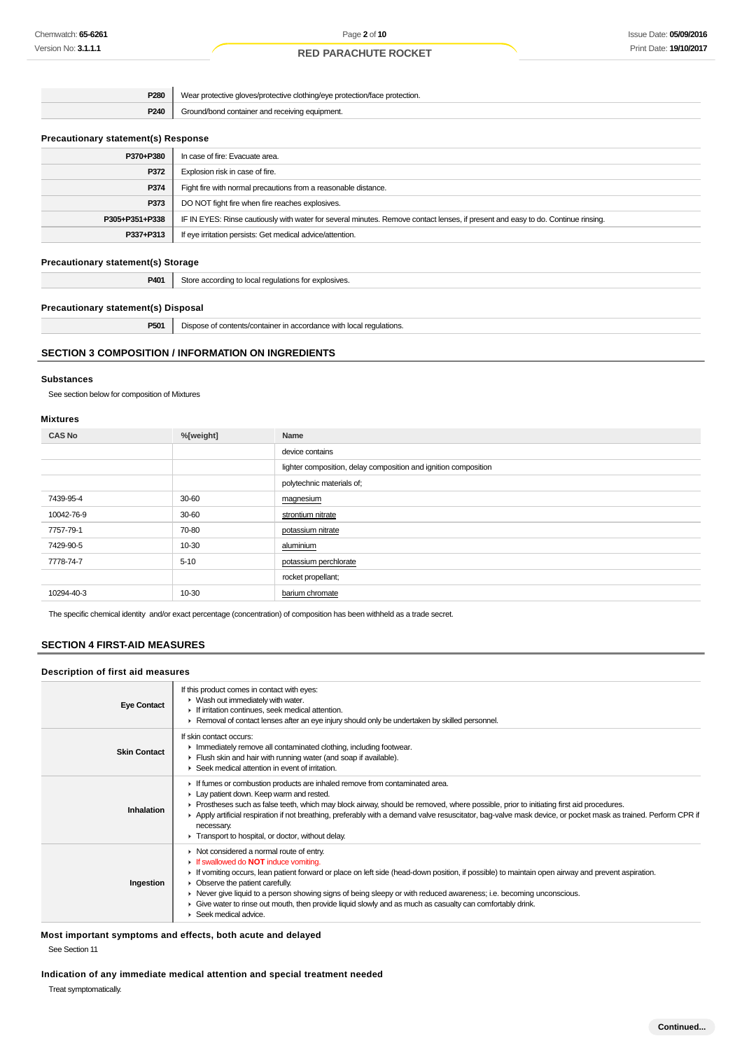| P280 | Wear protective gloves/protective clothing/eye protection/face protection. |
|------|----------------------------------------------------------------------------|
| P240 | Ground/bond container and receiving equipment.                             |

### **Precautionary statement(s) Response**

| P370+P380      | In case of fire: Evacuate area.                                                                                                  |
|----------------|----------------------------------------------------------------------------------------------------------------------------------|
| P372           | Explosion risk in case of fire.                                                                                                  |
| P374           | Fight fire with normal precautions from a reasonable distance.                                                                   |
| P373           | DO NOT fight fire when fire reaches explosives.                                                                                  |
| P305+P351+P338 | IF IN EYES: Rinse cautiously with water for several minutes. Remove contact lenses, if present and easy to do. Continue rinsing. |
| P337+P313      | If eye irritation persists: Get medical advice/attention.                                                                        |
|                |                                                                                                                                  |

### **Precautionary statement(s) Storage**

**P401** Store according to local regulations for explosives.

#### **Precautionary statement(s) Disposal**

**P501** Dispose of contents/container in accordance with local regulations.

### **SECTION 3 COMPOSITION / INFORMATION ON INGREDIENTS**

#### **Substances**

See section below for composition of Mixtures

### **Mixtures**

| <b>CAS No</b> | %[weight] | Name                                                            |
|---------------|-----------|-----------------------------------------------------------------|
|               |           | device contains                                                 |
|               |           | lighter composition, delay composition and ignition composition |
|               |           | polytechnic materials of;                                       |
| 7439-95-4     | 30-60     | magnesium                                                       |
| 10042-76-9    | 30-60     | strontium nitrate                                               |
| 7757-79-1     | 70-80     | potassium nitrate                                               |
| 7429-90-5     | 10-30     | aluminium                                                       |
| 7778-74-7     | $5 - 10$  | potassium perchlorate                                           |
|               |           | rocket propellant;                                              |
| 10294-40-3    | 10-30     | barium chromate                                                 |

The specific chemical identity and/or exact percentage (concentration) of composition has been withheld as a trade secret.

## **SECTION 4 FIRST-AID MEASURES**

#### **Description of first aid measures**

| <b>Eye Contact</b>  | If this product comes in contact with eyes:<br>• Wash out immediately with water.<br>If irritation continues, seek medical attention.<br>► Removal of contact lenses after an eye injury should only be undertaken by skilled personnel.                                                                                                                                                                                                                                                                                                      |
|---------------------|-----------------------------------------------------------------------------------------------------------------------------------------------------------------------------------------------------------------------------------------------------------------------------------------------------------------------------------------------------------------------------------------------------------------------------------------------------------------------------------------------------------------------------------------------|
| <b>Skin Contact</b> | If skin contact occurs:<br>Inmediately remove all contaminated clothing, including footwear.<br>Flush skin and hair with running water (and soap if available).<br>$\blacktriangleright$ Seek medical attention in event of irritation.                                                                                                                                                                                                                                                                                                       |
| Inhalation          | If fumes or combustion products are inhaled remove from contaminated area.<br>Lay patient down. Keep warm and rested.<br>► Prostheses such as false teeth, which may block airway, should be removed, where possible, prior to initiating first aid procedures.<br>▶ Apply artificial respiration if not breathing, preferably with a demand valve resuscitator, bag-valve mask device, or pocket mask as trained. Perform CPR if<br>necessary.<br>Transport to hospital, or doctor, without delay.                                           |
| Ingestion           | • Not considered a normal route of entry.<br><b>If swallowed do NOT induce vomiting.</b><br>If vomiting occurs, lean patient forward or place on left side (head-down position, if possible) to maintain open airway and prevent aspiration.<br>• Observe the patient carefully.<br>► Never give liquid to a person showing signs of being sleepy or with reduced awareness; i.e. becoming unconscious.<br>• Give water to rinse out mouth, then provide liquid slowly and as much as casualty can comfortably drink.<br>Seek medical advice. |

**Most important symptoms and effects, both acute and delayed**

See Section 11

**Indication of any immediate medical attention and special treatment needed**

Treat symptomatically.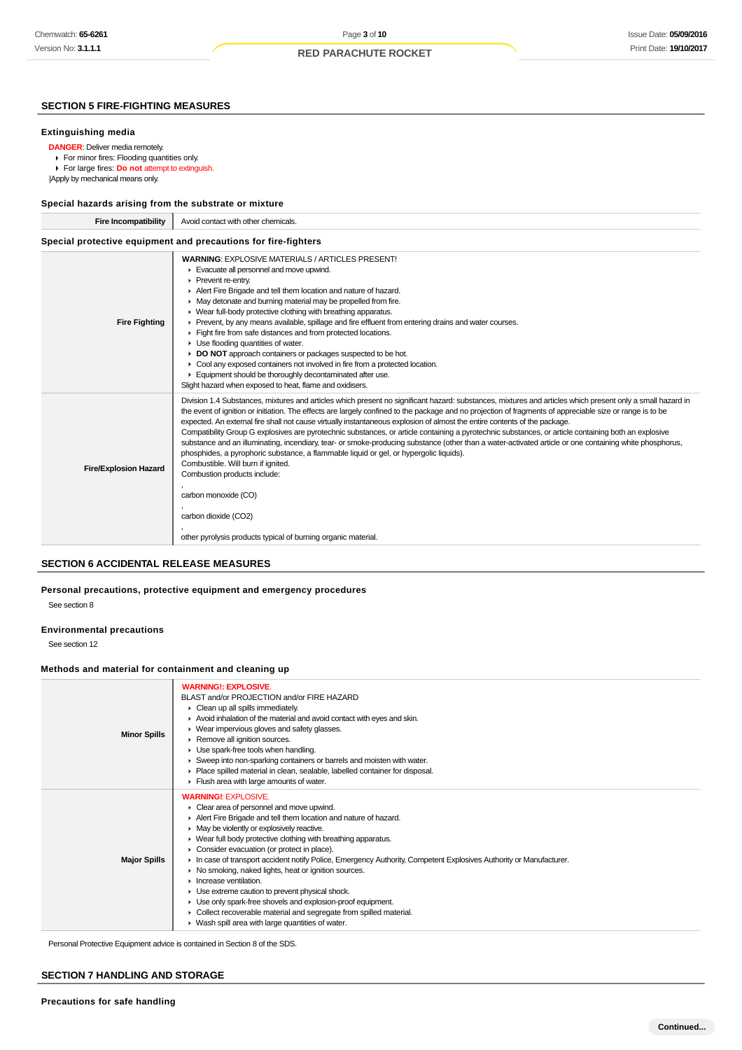## **SECTION 5 FIRE-FIGHTING MEASURES**

#### **Extinguishing media**

- **DANGER**: Deliver media remotely.
	- For minor fires: Flooding quantities only.
- For large fires: **Do not** attempt to extinguish.
- |Apply by mechanical means only.

### **Special hazards arising from the substrate or mixture**

| opcolar nazaras arismig riom the substrate or imixture |                                                                                                                                                                                                                                                                                                                                                                                                                                                                                                                                                                                                                                                                                                                                                                                                                                             |  |  |
|--------------------------------------------------------|---------------------------------------------------------------------------------------------------------------------------------------------------------------------------------------------------------------------------------------------------------------------------------------------------------------------------------------------------------------------------------------------------------------------------------------------------------------------------------------------------------------------------------------------------------------------------------------------------------------------------------------------------------------------------------------------------------------------------------------------------------------------------------------------------------------------------------------------|--|--|
| Fire Incompatibility                                   | Avoid contact with other chemicals.                                                                                                                                                                                                                                                                                                                                                                                                                                                                                                                                                                                                                                                                                                                                                                                                         |  |  |
|                                                        | Special protective equipment and precautions for fire-fighters                                                                                                                                                                                                                                                                                                                                                                                                                                                                                                                                                                                                                                                                                                                                                                              |  |  |
| <b>Fire Fighting</b>                                   | <b>WARNING: EXPLOSIVE MATERIALS / ARTICLES PRESENT!</b><br>Evacuate all personnel and move upwind.<br>Prevent re-entry.<br>Alert Fire Brigade and tell them location and nature of hazard.<br>• May detonate and burning material may be propelled from fire.<br>• Wear full-body protective clothing with breathing apparatus.<br>► Prevent, by any means available, spillage and fire effluent from entering drains and water courses.<br>Fight fire from safe distances and from protected locations.<br>$\blacktriangleright$ Use flooding quantities of water.<br>DO NOT approach containers or packages suspected to be hot.<br>► Cool any exposed containers not involved in fire from a protected location.<br>Equipment should be thoroughly decontaminated after use.<br>Slight hazard when exposed to heat, flame and oxidisers. |  |  |
|                                                        | Division 1.4 Substances, mixtures and articles which present no significant hazard; substances, mixtures and articles which present only a small hazard in                                                                                                                                                                                                                                                                                                                                                                                                                                                                                                                                                                                                                                                                                  |  |  |

| <b>Fire/Explosion Hazard</b> | Division 1.4 Substances, mixtures and articles which present no significant hazard: substances, mixtures and articles which present only a small hazard in<br>the event of ignition or initiation. The effects are largely confined to the package and no projection of fragments of appreciable size or range is to be<br>expected. An external fire shall not cause virtually instantaneous explosion of almost the entire contents of the package.<br>Compatibility Group G explosives are pyrotechnic substances, or article containing a pyrotechnic substances, or article containing both an explosive<br>substance and an illuminating, incendiary, tear- or smoke-producing substance (other than a water-activated article or one containing white phosphorus,<br>phosphides, a pyrophoric substance, a flammable liquid or gel, or hypergolic liquids).<br>Combustible. Will burn if ignited.<br>Combustion products include: |
|------------------------------|------------------------------------------------------------------------------------------------------------------------------------------------------------------------------------------------------------------------------------------------------------------------------------------------------------------------------------------------------------------------------------------------------------------------------------------------------------------------------------------------------------------------------------------------------------------------------------------------------------------------------------------------------------------------------------------------------------------------------------------------------------------------------------------------------------------------------------------------------------------------------------------------------------------------------------------|
|                              | carbon monoxide (CO)                                                                                                                                                                                                                                                                                                                                                                                                                                                                                                                                                                                                                                                                                                                                                                                                                                                                                                                     |
|                              | carbon dioxide (CO2)                                                                                                                                                                                                                                                                                                                                                                                                                                                                                                                                                                                                                                                                                                                                                                                                                                                                                                                     |
|                              | other pyrolysis products typical of burning organic material.                                                                                                                                                                                                                                                                                                                                                                                                                                                                                                                                                                                                                                                                                                                                                                                                                                                                            |

### **SECTION 6 ACCIDENTAL RELEASE MEASURES**

**Personal precautions, protective equipment and emergency procedures**

See section 8

#### **Environmental precautions**

See section 12

### **Methods and material for containment and cleaning up**

| <b>Minor Spills</b> | <b>WARNING!: EXPLOSIVE.</b><br>BLAST and/or PROJECTION and/or FIRE HAZARD<br>• Clean up all spills immediately.<br>Avoid inhalation of the material and avoid contact with eyes and skin.<br>▶ Wear impervious gloves and safety glasses.<br>Remove all ignition sources.<br>Use spark-free tools when handling.<br>Sweep into non-sparking containers or barrels and moisten with water.<br>• Place spilled material in clean, sealable, labelled container for disposal.<br>Fiush area with large amounts of water.                                                                                                                                                                                                                                                                    |
|---------------------|------------------------------------------------------------------------------------------------------------------------------------------------------------------------------------------------------------------------------------------------------------------------------------------------------------------------------------------------------------------------------------------------------------------------------------------------------------------------------------------------------------------------------------------------------------------------------------------------------------------------------------------------------------------------------------------------------------------------------------------------------------------------------------------|
| <b>Major Spills</b> | <b>WARNING!: EXPLOSIVE.</b><br>Clear area of personnel and move upwind.<br>Alert Fire Brigade and tell them location and nature of hazard.<br>• May be violently or explosively reactive.<br>• Wear full body protective clothing with breathing apparatus.<br>• Consider evacuation (or protect in place).<br>In case of transport accident notify Police, Emergency Authority, Competent Explosives Authority or Manufacturer.<br>• No smoking, naked lights, heat or ignition sources.<br>$\blacktriangleright$ Increase ventilation.<br>• Use extreme caution to prevent physical shock.<br>• Use only spark-free shovels and explosion-proof equipment.<br>• Collect recoverable material and segregate from spilled material.<br>• Wash spill area with large quantities of water. |

Personal Protective Equipment advice is contained in Section 8 of the SDS.

### **SECTION 7 HANDLING AND STORAGE**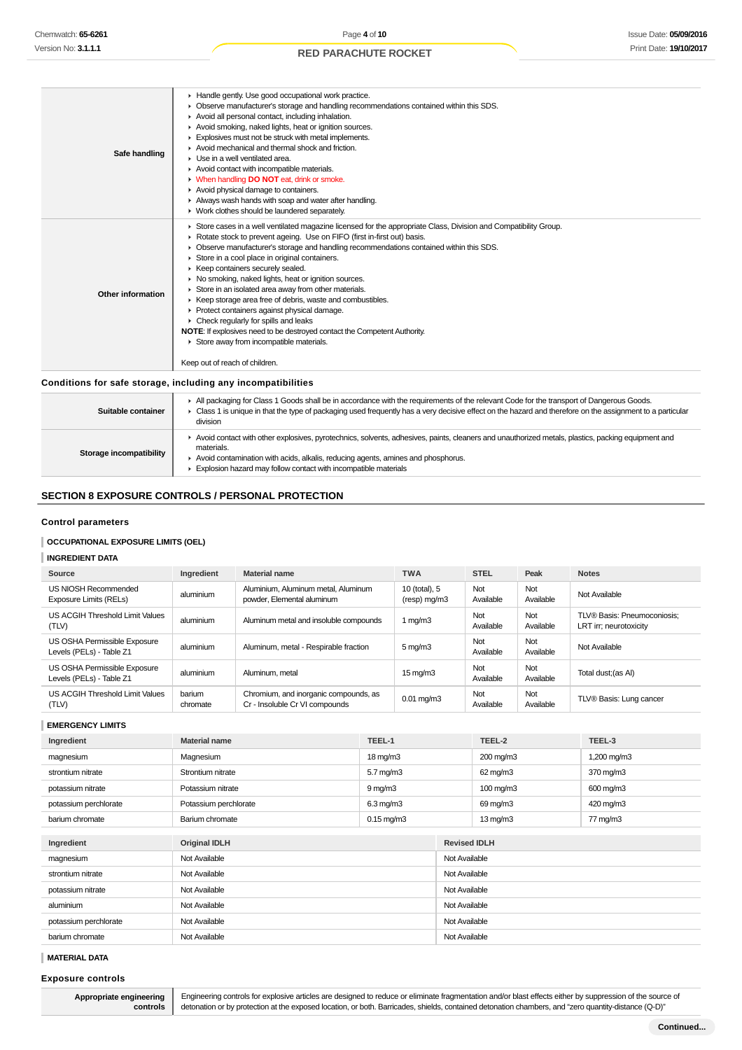| Safe handling     | Handle gently. Use good occupational work practice.<br>• Observe manufacturer's storage and handling recommendations contained within this SDS.<br>Avoid all personal contact, including inhalation.<br>Avoid smoking, naked lights, heat or ignition sources.<br>Explosives must not be struck with metal implements.<br>Avoid mechanical and thermal shock and friction.<br>• Use in a well ventilated area.<br>Avoid contact with incompatible materials.<br>• When handling <b>DO NOT</b> eat, drink or smoke.<br>Avoid physical damage to containers.<br>Always wash hands with soap and water after handling.<br>• Work clothes should be laundered separately.                                                                                                                                                                      |
|-------------------|--------------------------------------------------------------------------------------------------------------------------------------------------------------------------------------------------------------------------------------------------------------------------------------------------------------------------------------------------------------------------------------------------------------------------------------------------------------------------------------------------------------------------------------------------------------------------------------------------------------------------------------------------------------------------------------------------------------------------------------------------------------------------------------------------------------------------------------------|
| Other information | ► Store cases in a well ventilated magazine licensed for the appropriate Class, Division and Compatibility Group.<br>Rotate stock to prevent ageing. Use on FIFO (first in-first out) basis.<br>• Observe manufacturer's storage and handling recommendations contained within this SDS.<br>Store in a cool place in original containers.<br>▶ Keep containers securely sealed.<br>• No smoking, naked lights, heat or ignition sources.<br>Store in an isolated area away from other materials.<br>▶ Keep storage area free of debris, waste and combustibles.<br>▶ Protect containers against physical damage.<br>$\triangleright$ Check regularly for spills and leaks<br><b>NOTE:</b> If explosives need to be destroyed contact the Competent Authority.<br>Store away from incompatible materials.<br>Keep out of reach of children. |
|                   | Conditions for safe storage, including any incompatibilities                                                                                                                                                                                                                                                                                                                                                                                                                                                                                                                                                                                                                                                                                                                                                                               |

| Suitable container      | All packaging for Class 1 Goods shall be in accordance with the requirements of the relevant Code for the transport of Dangerous Goods.<br>• Class 1 is unique in that the type of packaging used frequently has a very decisive effect on the hazard and therefore on the assignment to a particular<br>division        |
|-------------------------|--------------------------------------------------------------------------------------------------------------------------------------------------------------------------------------------------------------------------------------------------------------------------------------------------------------------------|
| Storage incompatibility | ► Avoid contact with other explosives, pyrotechnics, solvents, adhesives, paints, cleaners and unauthorized metals, plastics, packing equipment and<br>materials.<br>Avoid contamination with acids, alkalis, reducing agents, amines and phosphorus.<br>Explosion hazard may follow contact with incompatible materials |

## **SECTION 8 EXPOSURE CONTROLS / PERSONAL PROTECTION**

#### **Control parameters**

### **OCCUPATIONAL EXPOSURE LIMITS (OEL)**

## **INGREDIENT DATA**

| Source                                                   | Ingredient         | <b>Material name</b>                                                    | <b>TWA</b>                    | <b>STEL</b>      | Peak             | <b>Notes</b>                                          |
|----------------------------------------------------------|--------------------|-------------------------------------------------------------------------|-------------------------------|------------------|------------------|-------------------------------------------------------|
| US NIOSH Recommended<br>Exposure Limits (RELs)           | aluminium          | Aluminium, Aluminum metal, Aluminum<br>powder, Elemental aluminum       | 10 (total), 5<br>(resp) mg/m3 | Not<br>Available | Not<br>Available | Not Available                                         |
| US ACGIH Threshold Limit Values<br>(TLV)                 | aluminium          | Aluminum metal and insoluble compounds                                  | 1 mg/m $3$                    | Not<br>Available | Not<br>Available | TLV® Basis: Pneumoconiosis;<br>LRT irr; neurotoxicity |
| US OSHA Permissible Exposure<br>Levels (PELs) - Table Z1 | aluminium          | Aluminum, metal - Respirable fraction                                   | $5 \,\mathrm{mq/m}$ 3         | Not<br>Available | Not<br>Available | Not Available                                         |
| US OSHA Permissible Exposure<br>Levels (PELs) - Table Z1 | aluminium          | Aluminum, metal                                                         | $15 \,\mathrm{mg/m}$          | Not<br>Available | Not<br>Available | Total dust; (as AI)                                   |
| US ACGIH Threshold Limit Values<br>(TLV)                 | barium<br>chromate | Chromium, and inorganic compounds, as<br>Cr - Insoluble Cr VI compounds | $0.01 \,\mathrm{mq/m3}$       | Not<br>Available | Not<br>Available | TLV® Basis: Lung cancer                               |

**EMERGENCY LIMITS**

| Ingredient            | <b>Material name</b>  | TEEL-1                |               | TEEL-2               | TEEL-3      |  |
|-----------------------|-----------------------|-----------------------|---------------|----------------------|-------------|--|
| magnesium             | Magnesium             | 18 mg/m3              |               | 200 mg/m3            | 1,200 mg/m3 |  |
| strontium nitrate     | Strontium nitrate     | $5.7$ mg/m $3$        |               | 62 mg/m3             | 370 mg/m3   |  |
| potassium nitrate     | Potassium nitrate     | $9 \,\mathrm{mg/m}$   |               | $100 \text{ mg/m}$ 3 | 600 mg/m3   |  |
| potassium perchlorate | Potassium perchlorate | $6.3$ mg/m $3$        |               | 69 mg/m3             | 420 mg/m3   |  |
| barium chromate       | Barium chromate       | $0.15 \text{ mg/m}$ 3 |               | $13 \text{ mg/m}$    | 77 mg/m3    |  |
|                       |                       |                       |               |                      |             |  |
| Ingredient            | <b>Original IDLH</b>  |                       |               | <b>Revised IDLH</b>  |             |  |
| magnesium             | Not Available         |                       |               | Not Available        |             |  |
| strontium nitrate     | Not Available         |                       |               | Not Available        |             |  |
| potassium nitrate     | Not Available         |                       |               | Not Available        |             |  |
| aluminium             | Not Available         |                       | Not Available |                      |             |  |
| potassium perchlorate | Not Available         |                       | Not Available |                      |             |  |
| barium chromate       | Not Available         |                       | Not Available |                      |             |  |

#### **MATERIAL DATA**

**Exposure controls**

**Appropriate engineering controls**

Engineering controls for explosive articles are designed to reduce or eliminate fragmentation and/or blast effects either by suppression of the source of detonation or by protection at the exposed location, or both. Barricades, shields, contained detonation chambers, and "zero quantity-distance (Q-D)"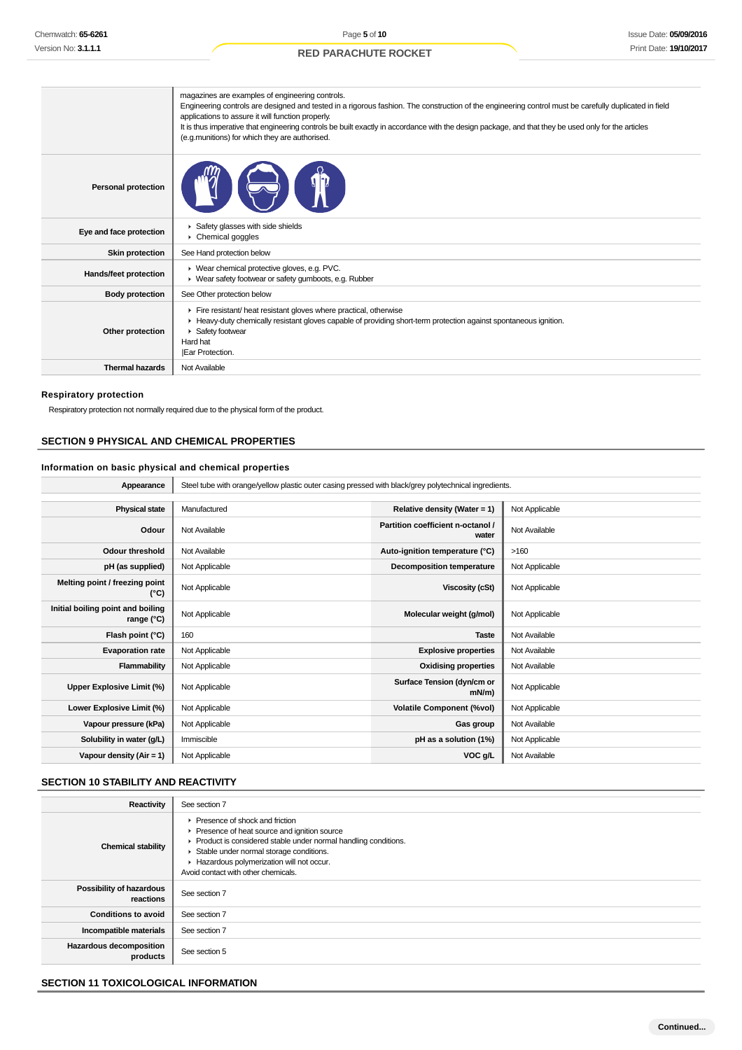|                            | magazines are examples of engineering controls.<br>Engineering controls are designed and tested in a rigorous fashion. The construction of the engineering control must be carefully duplicated in field<br>applications to assure it will function properly.<br>It is thus imperative that engineering controls be built exactly in accordance with the design package, and that they be used only for the articles<br>(e.g.munitions) for which they are authorised. |
|----------------------------|------------------------------------------------------------------------------------------------------------------------------------------------------------------------------------------------------------------------------------------------------------------------------------------------------------------------------------------------------------------------------------------------------------------------------------------------------------------------|
| <b>Personal protection</b> |                                                                                                                                                                                                                                                                                                                                                                                                                                                                        |
| Eye and face protection    | Safety glasses with side shields<br>Chemical goggles                                                                                                                                                                                                                                                                                                                                                                                                                   |
| <b>Skin protection</b>     | See Hand protection below                                                                                                                                                                                                                                                                                                                                                                                                                                              |
| Hands/feet protection      | ▶ Wear chemical protective gloves, e.g. PVC.<br>▶ Wear safety footwear or safety gumboots, e.g. Rubber                                                                                                                                                                                                                                                                                                                                                                 |
| <b>Body protection</b>     | See Other protection below                                                                                                                                                                                                                                                                                                                                                                                                                                             |
| Other protection           | Fire resistant/ heat resistant gloves where practical, otherwise<br>► Heavy-duty chemically resistant gloves capable of providing short-term protection against spontaneous ignition.<br>Safety footwear<br>Hard hat<br>Ear Protection.                                                                                                                                                                                                                                |
| <b>Thermal hazards</b>     | Not Available                                                                                                                                                                                                                                                                                                                                                                                                                                                          |

#### **Respiratory protection**

Respiratory protection not normally required due to the physical form of the product.

### **SECTION 9 PHYSICAL AND CHEMICAL PROPERTIES**

### **Information on basic physical and chemical properties**

| Appearance                                      | Steel tube with orange/yellow plastic outer casing pressed with black/grey polytechnical ingredients. |                                            |                |  |  |
|-------------------------------------------------|-------------------------------------------------------------------------------------------------------|--------------------------------------------|----------------|--|--|
|                                                 |                                                                                                       |                                            |                |  |  |
| <b>Physical state</b>                           | Manufactured                                                                                          | Relative density (Water = 1)               | Not Applicable |  |  |
| Odour                                           | Not Available                                                                                         | Partition coefficient n-octanol /<br>water | Not Available  |  |  |
| <b>Odour threshold</b>                          | Not Available                                                                                         | Auto-ignition temperature (°C)             | >160           |  |  |
| pH (as supplied)                                | Not Applicable                                                                                        | <b>Decomposition temperature</b>           | Not Applicable |  |  |
| Melting point / freezing point<br>(°C)          | Not Applicable                                                                                        | <b>Viscosity (cSt)</b>                     | Not Applicable |  |  |
| Initial boiling point and boiling<br>range (°C) | Not Applicable                                                                                        | Molecular weight (g/mol)                   | Not Applicable |  |  |
| Flash point (°C)                                | 160                                                                                                   | <b>Taste</b>                               | Not Available  |  |  |
| <b>Evaporation rate</b>                         | Not Applicable                                                                                        | <b>Explosive properties</b>                | Not Available  |  |  |
| Flammability                                    | Not Applicable                                                                                        | <b>Oxidising properties</b>                | Not Available  |  |  |
| Upper Explosive Limit (%)                       | Not Applicable                                                                                        | Surface Tension (dyn/cm or<br>mN/m)        | Not Applicable |  |  |
| Lower Explosive Limit (%)                       | Not Applicable                                                                                        | <b>Volatile Component (%vol)</b>           | Not Applicable |  |  |
| Vapour pressure (kPa)                           | Not Applicable                                                                                        | Gas group                                  | Not Available  |  |  |
| Solubility in water (g/L)                       | Immiscible                                                                                            | pH as a solution (1%)                      | Not Applicable |  |  |
| Vapour density $(Air = 1)$                      | Not Applicable                                                                                        | VOC g/L                                    | Not Available  |  |  |

## **SECTION 10 STABILITY AND REACTIVITY**

| Reactivity                            | See section 7                                                                                                                                                                                                                                                                     |
|---------------------------------------|-----------------------------------------------------------------------------------------------------------------------------------------------------------------------------------------------------------------------------------------------------------------------------------|
| <b>Chemical stability</b>             | ▶ Presence of shock and friction<br>▶ Presence of heat source and ignition source<br>Product is considered stable under normal handling conditions.<br>Stable under normal storage conditions.<br>Hazardous polymerization will not occur.<br>Avoid contact with other chemicals. |
| Possibility of hazardous<br>reactions | See section 7                                                                                                                                                                                                                                                                     |
| <b>Conditions to avoid</b>            | See section 7                                                                                                                                                                                                                                                                     |
| Incompatible materials                | See section 7                                                                                                                                                                                                                                                                     |
| Hazardous decomposition<br>products   | See section 5                                                                                                                                                                                                                                                                     |

### **SECTION 11 TOXICOLOGICAL INFORMATION**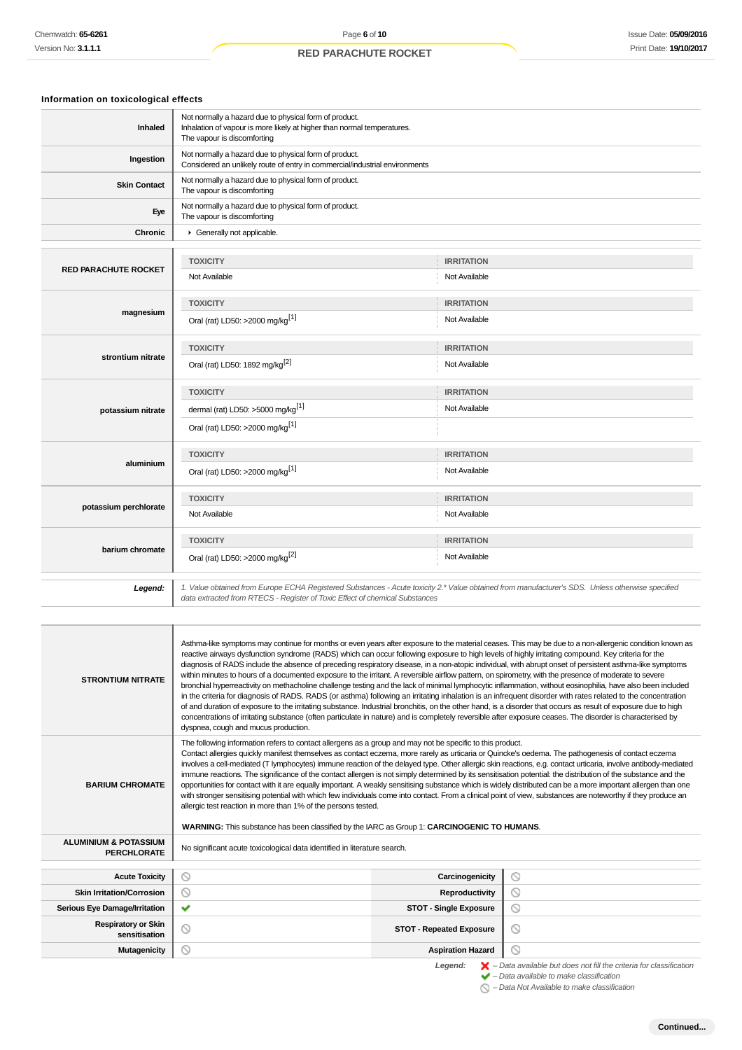## **Information on toxicological effects**

| Inhaled                     | Not normally a hazard due to physical form of product.<br>Inhalation of vapour is more likely at higher than normal temperatures.<br>The vapour is discomforting                                                                |                   |  |  |  |
|-----------------------------|---------------------------------------------------------------------------------------------------------------------------------------------------------------------------------------------------------------------------------|-------------------|--|--|--|
| Ingestion                   | Not normally a hazard due to physical form of product.<br>Considered an unlikely route of entry in commercial/industrial environments                                                                                           |                   |  |  |  |
| <b>Skin Contact</b>         | Not normally a hazard due to physical form of product.<br>The vapour is discomforting                                                                                                                                           |                   |  |  |  |
| Eye                         | Not normally a hazard due to physical form of product.<br>The vapour is discomforting                                                                                                                                           |                   |  |  |  |
| <b>Chronic</b>              | Generally not applicable.                                                                                                                                                                                                       |                   |  |  |  |
|                             |                                                                                                                                                                                                                                 |                   |  |  |  |
| <b>RED PARACHUTE ROCKET</b> | <b>TOXICITY</b>                                                                                                                                                                                                                 | <b>IRRITATION</b> |  |  |  |
|                             | Not Available                                                                                                                                                                                                                   | Not Available     |  |  |  |
|                             | <b>TOXICITY</b>                                                                                                                                                                                                                 | <b>IRRITATION</b> |  |  |  |
| magnesium                   | Oral (rat) LD50: >2000 mg/kg <sup>[1]</sup>                                                                                                                                                                                     | Not Available     |  |  |  |
|                             | <b>TOXICITY</b>                                                                                                                                                                                                                 | <b>IRRITATION</b> |  |  |  |
| strontium nitrate           | Oral (rat) LD50: 1892 mg/kg <sup>[2]</sup>                                                                                                                                                                                      | Not Available     |  |  |  |
|                             | <b>TOXICITY</b>                                                                                                                                                                                                                 | <b>IRRITATION</b> |  |  |  |
| potassium nitrate           | dermal (rat) LD50: >5000 mg/kg <sup>[1]</sup>                                                                                                                                                                                   | Not Available     |  |  |  |
|                             | Oral (rat) LD50: >2000 mg/kg <sup>[1]</sup>                                                                                                                                                                                     |                   |  |  |  |
|                             | <b>TOXICITY</b>                                                                                                                                                                                                                 | <b>IRRITATION</b> |  |  |  |
| aluminium                   | Oral (rat) LD50: >2000 mg/kg <sup>[1]</sup>                                                                                                                                                                                     | Not Available     |  |  |  |
|                             | <b>TOXICITY</b>                                                                                                                                                                                                                 | <b>IRRITATION</b> |  |  |  |
| potassium perchlorate       | Not Available                                                                                                                                                                                                                   | Not Available     |  |  |  |
|                             | <b>TOXICITY</b>                                                                                                                                                                                                                 | <b>IRRITATION</b> |  |  |  |
| barium chromate             | Oral (rat) LD50: >2000 mg/kg <sup>[2]</sup>                                                                                                                                                                                     | Not Available     |  |  |  |
| Legend:                     | 1. Value obtained from Europe ECHA Registered Substances - Acute toxicity 2.* Value obtained from manufacturer's SDS. Unless otherwise specified<br>data extracted from RTECS - Register of Toxic Effect of chemical Substances |                   |  |  |  |
|                             |                                                                                                                                                                                                                                 |                   |  |  |  |

| <b>STRONTIUM NITRATE</b>                               | Asthma-like symptoms may continue for months or even years after exposure to the material ceases. This may be due to a non-allergenic condition known as<br>reactive airways dysfunction syndrome (RADS) which can occur following exposure to high levels of highly irritating compound. Key criteria for the<br>diagnosis of RADS include the absence of preceding respiratory disease, in a non-atopic individual, with abrupt onset of persistent asthma-like symptoms<br>within minutes to hours of a documented exposure to the irritant. A reversible airflow pattern, on spirometry, with the presence of moderate to severe<br>bronchial hyperreactivity on methacholine challenge testing and the lack of minimal lymphocytic inflammation, without eosinophilia, have also been included<br>in the criteria for diagnosis of RADS. RADS (or asthma) following an irritating inhalation is an infrequent disorder with rates related to the concentration<br>of and duration of exposure to the irritating substance. Industrial bronchitis, on the other hand, is a disorder that occurs as result of exposure due to high<br>concentrations of irritating substance (often particulate in nature) and is completely reversible after exposure ceases. The disorder is characterised by<br>dyspnea, cough and mucus production. |                                                                          |  |  |  |  |  |
|--------------------------------------------------------|--------------------------------------------------------------------------------------------------------------------------------------------------------------------------------------------------------------------------------------------------------------------------------------------------------------------------------------------------------------------------------------------------------------------------------------------------------------------------------------------------------------------------------------------------------------------------------------------------------------------------------------------------------------------------------------------------------------------------------------------------------------------------------------------------------------------------------------------------------------------------------------------------------------------------------------------------------------------------------------------------------------------------------------------------------------------------------------------------------------------------------------------------------------------------------------------------------------------------------------------------------------------------------------------------------------------------------------------|--------------------------------------------------------------------------|--|--|--|--|--|
| <b>BARIUM CHROMATE</b>                                 | The following information refers to contact allergens as a group and may not be specific to this product.<br>Contact allergies quickly manifest themselves as contact eczema, more rarely as urticaria or Quincke's oedema. The pathogenesis of contact eczema<br>involves a cell-mediated (T lymphocytes) immune reaction of the delayed type. Other allergic skin reactions, e.g. contact urticaria, involve antibody-mediated<br>immune reactions. The significance of the contact allergen is not simply determined by its sensitisation potential: the distribution of the substance and the<br>opportunities for contact with it are equally important. A weakly sensitising substance which is widely distributed can be a more important allergen than one<br>with stronger sensitising potential with which few individuals come into contact. From a clinical point of view, substances are noteworthy if they produce an<br>allergic test reaction in more than 1% of the persons tested.<br>WARNING: This substance has been classified by the IARC as Group 1: CARCINOGENIC TO HUMANS.                                                                                                                                                                                                                                        |                                                                          |  |  |  |  |  |
| <b>ALUMINIUM &amp; POTASSIUM</b><br><b>PERCHLORATE</b> | No significant acute toxicological data identified in literature search.                                                                                                                                                                                                                                                                                                                                                                                                                                                                                                                                                                                                                                                                                                                                                                                                                                                                                                                                                                                                                                                                                                                                                                                                                                                                   |                                                                          |  |  |  |  |  |
| <b>Acute Toxicity</b>                                  | ◎                                                                                                                                                                                                                                                                                                                                                                                                                                                                                                                                                                                                                                                                                                                                                                                                                                                                                                                                                                                                                                                                                                                                                                                                                                                                                                                                          | ∾                                                                        |  |  |  |  |  |
| <b>Skin Irritation/Corrosion</b>                       | $\circledcirc$                                                                                                                                                                                                                                                                                                                                                                                                                                                                                                                                                                                                                                                                                                                                                                                                                                                                                                                                                                                                                                                                                                                                                                                                                                                                                                                             | Carcinogenicity<br>⊚<br>Reproductivity                                   |  |  |  |  |  |
| <b>Serious Eye Damage/Irritation</b>                   | ✔<br><b>STOT - Single Exposure</b>                                                                                                                                                                                                                                                                                                                                                                                                                                                                                                                                                                                                                                                                                                                                                                                                                                                                                                                                                                                                                                                                                                                                                                                                                                                                                                         | $\circ$                                                                  |  |  |  |  |  |
| <b>Respiratory or Skin</b><br>sensitisation            | $\circ$<br><b>STOT - Repeated Exposure</b>                                                                                                                                                                                                                                                                                                                                                                                                                                                                                                                                                                                                                                                                                                                                                                                                                                                                                                                                                                                                                                                                                                                                                                                                                                                                                                 | $\odot$                                                                  |  |  |  |  |  |
| <b>Mutagenicity</b>                                    | ⊚<br><b>Aspiration Hazard</b>                                                                                                                                                                                                                                                                                                                                                                                                                                                                                                                                                                                                                                                                                                                                                                                                                                                                                                                                                                                                                                                                                                                                                                                                                                                                                                              | ⋒                                                                        |  |  |  |  |  |
|                                                        |                                                                                                                                                                                                                                                                                                                                                                                                                                                                                                                                                                                                                                                                                                                                                                                                                                                                                                                                                                                                                                                                                                                                                                                                                                                                                                                                            | Lomand: Data quailable but does not fill the exiteria for elegation tion |  |  |  |  |  |

Legend:  $\blacktriangleright$  - Data available but does not fill the criteria for classification<br>  $\blacktriangleright$  - Data available to make classification

– Data Not Available to make classification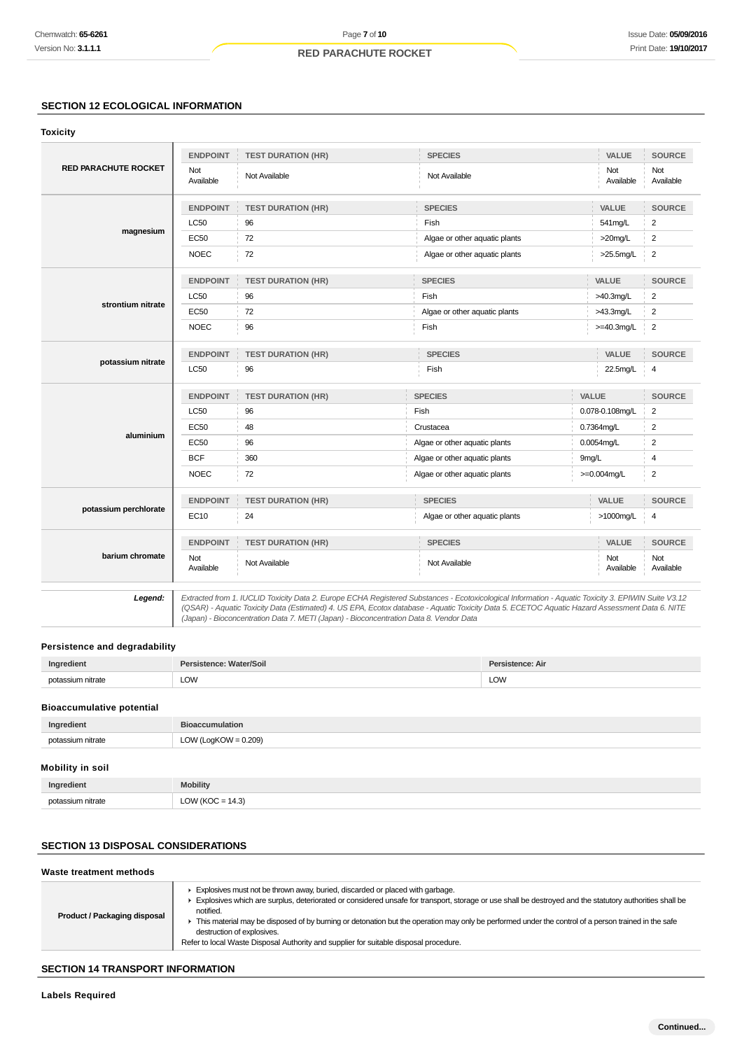## **SECTION 12 ECOLOGICAL INFORMATION**

#### **Toxicity**

|                             | <b>ENDPOINT</b>  | <b>TEST DURATION (HR)</b> | <b>SPECIES</b>                |                  | VALUE            | <b>SOURCE</b>    |
|-----------------------------|------------------|---------------------------|-------------------------------|------------------|------------------|------------------|
| <b>RED PARACHUTE ROCKET</b> | Not<br>Available | Not Available             | Not Available                 |                  | Not<br>Available | Not<br>Available |
|                             | <b>ENDPOINT</b>  | <b>TEST DURATION (HR)</b> | <b>SPECIES</b>                |                  | VALUE            | <b>SOURCE</b>    |
|                             | <b>LC50</b>      | 96                        | Fish                          |                  | 541mg/L          | $\overline{2}$   |
| magnesium                   | <b>EC50</b>      | 72                        | Algae or other aquatic plants |                  |                  | $\overline{2}$   |
|                             | <b>NOEC</b>      | 72                        | Algae or other aquatic plants |                  | >25.5mg/L        | $\overline{2}$   |
|                             | <b>ENDPOINT</b>  | <b>TEST DURATION (HR)</b> | <b>SPECIES</b>                |                  | VALUE            | <b>SOURCE</b>    |
|                             | <b>LC50</b>      | 96                        | Fish                          |                  | $>40.3$ mg/L     | $\overline{c}$   |
| strontium nitrate           | EC50             | 72                        | Algae or other aquatic plants |                  | >43.3mg/L        | $\overline{2}$   |
|                             | <b>NOEC</b>      | 96                        | Fish                          |                  | $>=$ 40.3mg/L    | $\overline{2}$   |
|                             | <b>ENDPOINT</b>  | <b>TEST DURATION (HR)</b> | <b>SPECIES</b>                |                  | VALUE            | <b>SOURCE</b>    |
| potassium nitrate           | <b>LC50</b>      | 96                        | Fish                          |                  | 22.5mg/L         | 4                |
|                             | <b>ENDPOINT</b>  | <b>TEST DURATION (HR)</b> | <b>SPECIES</b>                |                  | VALUE            | <b>SOURCE</b>    |
|                             | <b>LC50</b>      | 96                        | Fish                          | 0.078-0.108mg/L  |                  | $\overline{2}$   |
|                             | <b>EC50</b>      | 48                        | Crustacea                     | 0.7364mg/L       |                  | $\overline{2}$   |
| aluminium                   | <b>EC50</b>      | 96                        | Algae or other aquatic plants | 0.0054mg/L       |                  | $\overline{2}$   |
|                             | <b>BCF</b>       | 360                       | Algae or other aquatic plants | 9mg/L            |                  | 4                |
|                             | <b>NOEC</b>      | 72                        | Algae or other aquatic plants |                  | $>=0.004$ mg/L   | $\overline{2}$   |
|                             | <b>ENDPOINT</b>  | <b>TEST DURATION (HR)</b> | <b>SPECIES</b>                |                  | VALUE            | SOURCE           |
| potassium perchlorate       | EC10             | 24                        | Algae or other aquatic plants |                  | >1000mg/L        | $\overline{4}$   |
|                             | <b>ENDPOINT</b>  | <b>TEST DURATION (HR)</b> | <b>SPECIES</b>                |                  | VALUE            | <b>SOURCE</b>    |
| barium chromate             | Not<br>Available | Not Available             | Not Available                 | Not<br>Available |                  | Not<br>Available |
|                             |                  |                           |                               |                  |                  |                  |

**Legend:** Extracted from 1. IUCLID Toxicity Data 2. Europe ECHA Registered Substances - Ecotoxicological Information - Aquatic Toxicity 3. EPIWIN Suite V3.12 (QSAR) - Aquatic Toxicity Data (Estimated) 4. US EPA, Ecotox database - Aquatic Toxicity Data 5. ECETOC Aquatic Hazard Assessment Data 6. NITE (Japan) - Bioconcentration Data 7. METI (Japan) - Bioconcentration Data 8. Vendor Data

### **Persistence and degradability**

| Ingredient                       | Persistence: Water/Soil | Persistence: Air |
|----------------------------------|-------------------------|------------------|
| potassium nitrate                | LOW                     | LOW              |
| <b>Bioaccumulative potential</b> |                         |                  |

| Ingredient       | <b>Bioaccumulation</b> |
|------------------|------------------------|
| tassium nitrate  | $LOW (LogKOW = 0.209)$ |
| not <sup>r</sup> | ____                   |
|                  | . .                    |

## **Mobility in soil**

| Ingredient               | obility                                             |
|--------------------------|-----------------------------------------------------|
| notaccji im<br>ı nitrate | $\overline{a}$<br>$\overline{\phantom{a}}$<br>т. е. |

## **SECTION 13 DISPOSAL CONSIDERATIONS**

| Waste treatment methods      |                                                                                                                                                                                                                                                                                                                                                                                                                                                                                                                                     |
|------------------------------|-------------------------------------------------------------------------------------------------------------------------------------------------------------------------------------------------------------------------------------------------------------------------------------------------------------------------------------------------------------------------------------------------------------------------------------------------------------------------------------------------------------------------------------|
| Product / Packaging disposal | Explosives must not be thrown away, buried, discarded or placed with garbage.<br>Explosives which are surplus, deteriorated or considered unsafe for transport, storage or use shall be destroyed and the statutory authorities shall be<br>notified.<br>This material may be disposed of by burning or detonation but the operation may only be performed under the control of a person trained in the safe<br>destruction of explosives.<br>Refer to local Waste Disposal Authority and supplier for suitable disposal procedure. |
|                              |                                                                                                                                                                                                                                                                                                                                                                                                                                                                                                                                     |

## **SECTION 14 TRANSPORT INFORMATION**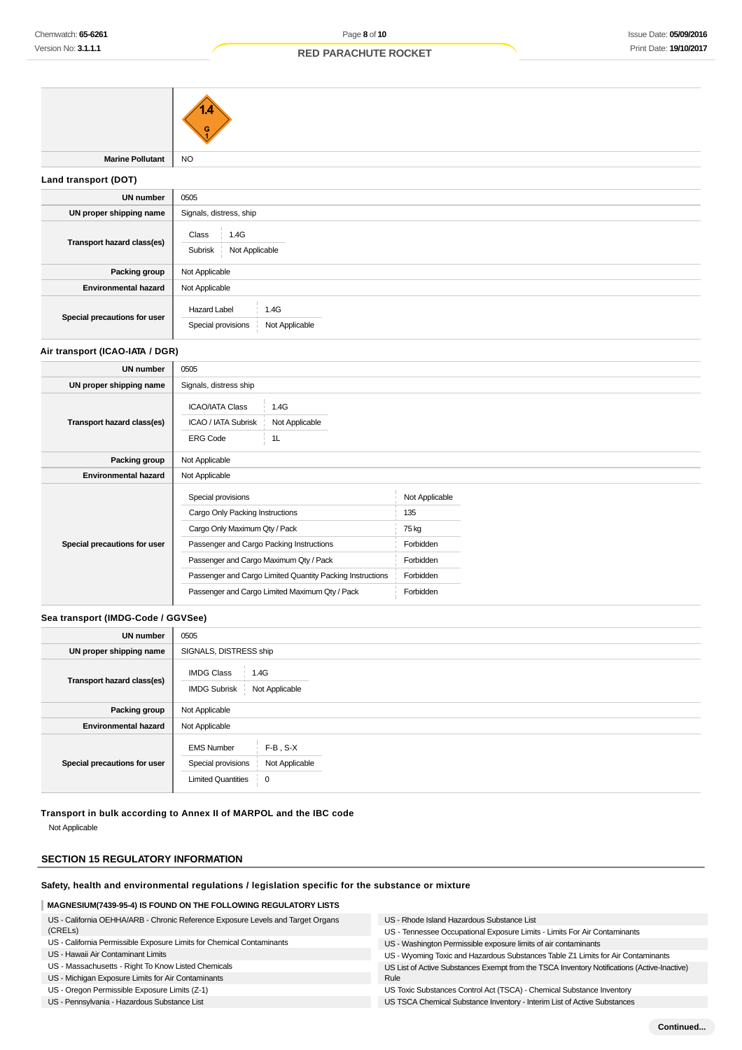|                             | G                                          |
|-----------------------------|--------------------------------------------|
| <b>Marine Pollutant</b>     | <b>NO</b>                                  |
| Land transport (DOT)        |                                            |
| <b>UN number</b>            | 0505                                       |
| UN proper shipping name     | Signals, distress, ship                    |
| Transport hazard class(es)  | Class<br>1.4G<br>Not Applicable<br>Subrisk |
| Packing group               | Not Applicable                             |
| <b>Environmental hazard</b> | Not Applicable                             |
|                             | 1.4G<br><b>Hazard Label</b>                |

### **Air transport (ICAO-IATA / DGR)**

**Special precautions for user**

| <b>UN number</b>             | 0505                                                                                                                                                                         |                                                                                                             |                                                                                    |  |  |
|------------------------------|------------------------------------------------------------------------------------------------------------------------------------------------------------------------------|-------------------------------------------------------------------------------------------------------------|------------------------------------------------------------------------------------|--|--|
| UN proper shipping name      | Signals, distress ship                                                                                                                                                       |                                                                                                             |                                                                                    |  |  |
| Transport hazard class(es)   | <b>ICAO/IATA Class</b><br>ICAO / IATA Subrisk<br><b>ERG Code</b>                                                                                                             | 1.4G<br>Not Applicable<br>1L                                                                                |                                                                                    |  |  |
| Packing group                | Not Applicable                                                                                                                                                               |                                                                                                             |                                                                                    |  |  |
| <b>Environmental hazard</b>  | Not Applicable                                                                                                                                                               |                                                                                                             |                                                                                    |  |  |
| Special precautions for user | Special provisions<br>Cargo Only Packing Instructions<br>Cargo Only Maximum Qty / Pack<br>Passenger and Cargo Packing Instructions<br>Passenger and Cargo Maximum Qty / Pack | Passenger and Cargo Limited Quantity Packing Instructions<br>Passenger and Cargo Limited Maximum Qty / Pack | Not Applicable<br>135<br>75 kg<br>Forbidden<br>Forbidden<br>Forbidden<br>Forbidden |  |  |

# **Sea transport (IMDG-Code / GGVSee)**

| <b>UN number</b>             | 0505                                                                 |                                             |  |  |
|------------------------------|----------------------------------------------------------------------|---------------------------------------------|--|--|
| UN proper shipping name      |                                                                      | SIGNALS, DISTRESS ship                      |  |  |
| Transport hazard class(es)   | <b>IMDG Class</b><br>1.4G<br>Not Applicable<br><b>IMDG Subrisk</b>   |                                             |  |  |
| Packing group                | Not Applicable                                                       |                                             |  |  |
| <b>Environmental hazard</b>  | Not Applicable                                                       |                                             |  |  |
| Special precautions for user | <b>EMS Number</b><br>Special provisions<br><b>Limited Quantities</b> | $F-B$ , $S-X$<br>Not Applicable<br><b>0</b> |  |  |

**Transport in bulk according to Annex II of MARPOL and the IBC code**

Not Applicable

## **SECTION 15 REGULATORY INFORMATION**

### **Safety, health and environmental regulations / legislation specific for the substance or mixture**

Special provisions Not Applicable

## **MAGNESIUM(7439-95-4) IS FOUND ON THE FOLLOWING REGULATORY LISTS**

| US - California OEHHA/ARB - Chronic Reference Exposure Levels and Target Organs | US - Rhode Island Hazardous Substance List                                                  |
|---------------------------------------------------------------------------------|---------------------------------------------------------------------------------------------|
| (CRELs)                                                                         | US - Tennessee Occupational Exposure Limits - Limits For Air Contaminants                   |
| US - California Permissible Exposure Limits for Chemical Contaminants           | US - Washington Permissible exposure limits of air contaminants                             |
| US - Hawaii Air Contaminant Limits                                              | US - Wyoming Toxic and Hazardous Substances Table Z1 Limits for Air Contaminants            |
| US - Massachusetts - Right To Know Listed Chemicals                             | US List of Active Substances Exempt from the TSCA Inventory Notifications (Active-Inactive) |
| US - Michigan Exposure Limits for Air Contaminants                              | Rule                                                                                        |
| US - Oregon Permissible Exposure Limits (Z-1)                                   | US Toxic Substances Control Act (TSCA) - Chemical Substance Inventory                       |
| US - Pennsylvania - Hazardous Substance List                                    | US TSCA Chemical Substance Inventory - Interim List of Active Substances                    |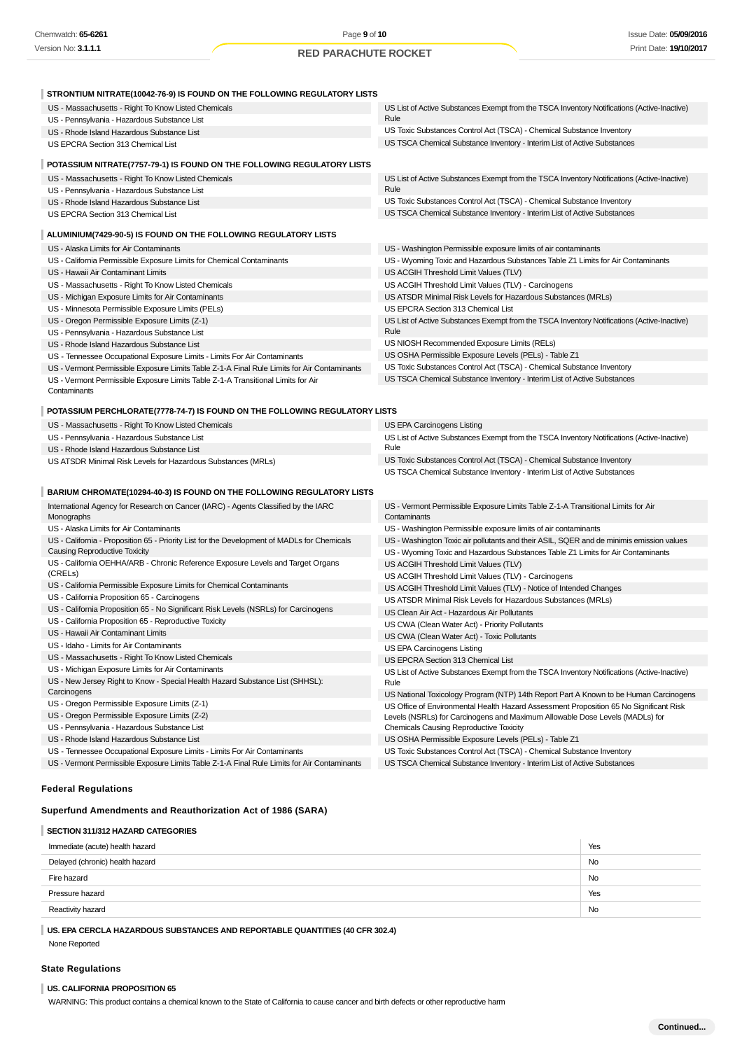| STRONTIUM NITRATE(10042-76-9) IS FOUND ON THE FOLLOWING REGULATORY LISTS                                   |                                                                                                                                |
|------------------------------------------------------------------------------------------------------------|--------------------------------------------------------------------------------------------------------------------------------|
| US - Massachusetts - Right To Know Listed Chemicals                                                        | US List of Active Substances Exempt from the TSCA Inventory Notifications (Active-Inactive)                                    |
| US - Pennsylvania - Hazardous Substance List                                                               | Rule                                                                                                                           |
| US - Rhode Island Hazardous Substance List                                                                 | US Toxic Substances Control Act (TSCA) - Chemical Substance Inventory                                                          |
| US EPCRA Section 313 Chemical List                                                                         | US TSCA Chemical Substance Inventory - Interim List of Active Substances                                                       |
| POTASSIUM NITRATE(7757-79-1) IS FOUND ON THE FOLLOWING REGULATORY LISTS                                    |                                                                                                                                |
| US - Massachusetts - Right To Know Listed Chemicals                                                        | US List of Active Substances Exempt from the TSCA Inventory Notifications (Active-Inactive)                                    |
| US - Pennsylvania - Hazardous Substance List                                                               | Rule                                                                                                                           |
| US - Rhode Island Hazardous Substance List                                                                 | US Toxic Substances Control Act (TSCA) - Chemical Substance Inventory                                                          |
| US EPCRA Section 313 Chemical List                                                                         | US TSCA Chemical Substance Inventory - Interim List of Active Substances                                                       |
| ALUMINIUM(7429-90-5) IS FOUND ON THE FOLLOWING REGULATORY LISTS                                            |                                                                                                                                |
| US - Alaska Limits for Air Contaminants                                                                    | US - Washington Permissible exposure limits of air contaminants                                                                |
| US - California Permissible Exposure Limits for Chemical Contaminants                                      | US - Wyoming Toxic and Hazardous Substances Table Z1 Limits for Air Contaminants                                               |
| US - Hawaii Air Contaminant Limits                                                                         | US ACGIH Threshold Limit Values (TLV)                                                                                          |
| US - Massachusetts - Right To Know Listed Chemicals                                                        | US ACGIH Threshold Limit Values (TLV) - Carcinogens                                                                            |
| US - Michigan Exposure Limits for Air Contaminants                                                         | US ATSDR Minimal Risk Levels for Hazardous Substances (MRLs)                                                                   |
| US - Minnesota Permissible Exposure Limits (PELs)                                                          | US EPCRA Section 313 Chemical List                                                                                             |
| US - Oregon Permissible Exposure Limits (Z-1)                                                              | US List of Active Substances Exempt from the TSCA Inventory Notifications (Active-Inactive)                                    |
| US - Pennsylvania - Hazardous Substance List                                                               | Rule                                                                                                                           |
| US - Rhode Island Hazardous Substance List                                                                 | US NIOSH Recommended Exposure Limits (RELs)                                                                                    |
| US - Tennessee Occupational Exposure Limits - Limits For Air Contaminants                                  | US OSHA Permissible Exposure Levels (PELs) - Table Z1                                                                          |
| US - Vermont Permissible Exposure Limits Table Z-1-A Final Rule Limits for Air Contaminants                | US Toxic Substances Control Act (TSCA) - Chemical Substance Inventory                                                          |
| US - Vermont Permissible Exposure Limits Table Z-1-A Transitional Limits for Air                           | US TSCA Chemical Substance Inventory - Interim List of Active Substances                                                       |
| Contaminants                                                                                               |                                                                                                                                |
| POTASSIUM PERCHLORATE(7778-74-7) IS FOUND ON THE FOLLOWING REGULATORY LISTS                                |                                                                                                                                |
|                                                                                                            |                                                                                                                                |
| US - Massachusetts - Right To Know Listed Chemicals                                                        | US EPA Carcinogens Listing                                                                                                     |
| US - Pennsylvania - Hazardous Substance List                                                               | US List of Active Substances Exempt from the TSCA Inventory Notifications (Active-Inactive)<br>Rule                            |
| US - Rhode Island Hazardous Substance List<br>US ATSDR Minimal Risk Levels for Hazardous Substances (MRLs) | US Toxic Substances Control Act (TSCA) - Chemical Substance Inventory                                                          |
|                                                                                                            | US TSCA Chemical Substance Inventory - Interim List of Active Substances                                                       |
|                                                                                                            |                                                                                                                                |
| BARIUM CHROMATE(10294-40-3) IS FOUND ON THE FOLLOWING REGULATORY LISTS                                     |                                                                                                                                |
| International Agency for Research on Cancer (IARC) - Agents Classified by the IARC<br>Monographs           | US - Vermont Permissible Exposure Limits Table Z-1-A Transitional Limits for Air<br>Contaminants                               |
| US - Alaska Limits for Air Contaminants                                                                    | US - Washington Permissible exposure limits of air contaminants                                                                |
| US - California - Proposition 65 - Priority List for the Development of MADLs for Chemicals                | US - Washington Toxic air pollutants and their ASIL, SQER and de minimis emission values                                       |
| <b>Causing Reproductive Toxicity</b>                                                                       | US - Wyoming Toxic and Hazardous Substances Table Z1 Limits for Air Contaminants                                               |
| US - California OEHHA/ARB - Chronic Reference Exposure Levels and Target Organs                            | US ACGIH Threshold Limit Values (TLV)                                                                                          |
| (CRELs)                                                                                                    | US ACGIH Threshold Limit Values (TLV) - Carcinogens                                                                            |
| US - California Permissible Exposure Limits for Chemical Contaminants                                      | US ACGIH Threshold Limit Values (TLV) - Notice of Intended Changes                                                             |
| US - California Proposition 65 - Carcinogens                                                               | US ATSDR Minimal Risk Levels for Hazardous Substances (MRLs)                                                                   |
| US - California Proposition 65 - No Significant Risk Levels (NSRLs) for Carcinogens                        | US Clean Air Act - Hazardous Air Pollutants                                                                                    |
| US - California Proposition 65 - Reproductive Toxicity                                                     | US CWA (Clean Water Act) - Priority Pollutants                                                                                 |
| US - Hawaii Air Contaminant Limits                                                                         | US CWA (Clean Water Act) - Toxic Pollutants                                                                                    |
| US - Idaho - Limits for Air Contaminants                                                                   | US EPA Carcinogens Listing                                                                                                     |
| US - Massachusetts - Right To Know Listed Chemicals                                                        | US EPCRA Section 313 Chemical List                                                                                             |
| US - Michigan Exposure Limits for Air Contaminants                                                         | US List of Active Substances Exempt from the TSCA Inventory Notifications (Active-Inactive)                                    |
| US - New Jersey Right to Know - Special Health Hazard Substance List (SHHSL):                              | Rule                                                                                                                           |
| Carcinogens<br>US - Oregon Permissible Exposure Limits (Z-1)                                               | US National Toxicology Program (NTP) 14th Report Part A Known to be Human Carcinogens                                          |
| US - Oregon Permissible Exposure Limits (Z-2)                                                              | US Office of Environmental Health Hazard Assessment Proposition 65 No Significant Risk                                         |
| US - Pennsylvania - Hazardous Substance List                                                               | Levels (NSRLs) for Carcinogens and Maximum Allowable Dose Levels (MADLs) for<br><b>Chemicals Causing Reproductive Toxicity</b> |
| US - Rhode Island Hazardous Substance List                                                                 | US OSHA Permissible Exposure Levels (PELs) - Table Z1                                                                          |
| US - Tennessee Occupational Exposure Limits - Limits For Air Contaminants                                  | US Toxic Substances Control Act (TSCA) - Chemical Substance Inventory                                                          |
| US - Vermont Permissible Exposure Limits Table Z-1-A Final Rule Limits for Air Contaminants                | US TSCA Chemical Substance Inventory - Interim List of Active Substances                                                       |

## **Federal Regulations**

## **Superfund Amendments and Reauthorization Act of 1986 (SARA)**

## **SECTION 311/312 HAZARD CATEGORIES**

| Immediate (acute) health hazard | Yes       |
|---------------------------------|-----------|
| Delayed (chronic) health hazard | <b>No</b> |
| Fire hazard                     | No        |
| Pressure hazard                 | Yes       |
| Reactivity hazard               | <b>No</b> |
|                                 |           |

**US. EPA CERCLA HAZARDOUS SUBSTANCES AND REPORTABLE QUANTITIES (40 CFR 302.4)**

None Reported

### **State Regulations**

#### **US. CALIFORNIA PROPOSITION 65**

WARNING: This product contains a chemical known to the State of California to cause cancer and birth defects or other reproductive harm